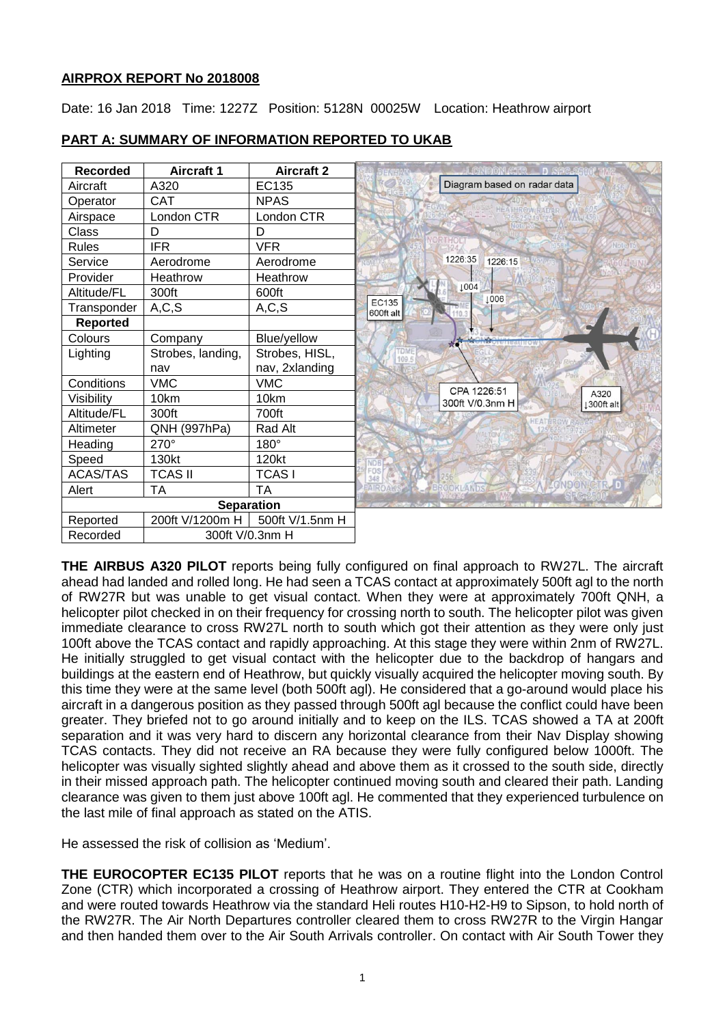## **AIRPROX REPORT No 2018008**

Date: 16 Jan 2018 Time: 1227Z Position: 5128N 00025W Location: Heathrow airport

| <b>Recorded</b>   | <b>Aircraft 1</b> | <b>Aircraft 2</b> | <b>ONDON GIR __ D SFC</b><br>DEMHAM   |
|-------------------|-------------------|-------------------|---------------------------------------|
| Aircraft          | A320              | EC135             | Diagram based on radar data           |
| Operator          | <b>CAT</b>        | <b>NPAS</b>       |                                       |
| Airspace          | London CTR        | London CTR        |                                       |
| Class             | D                 | D                 |                                       |
| <b>Rules</b>      | IFR               | <b>VFR</b>        | ihol:1                                |
| Service           | Aerodrome         | Aerodrome         | 1226:35<br>1226:15                    |
| Provider          | Heathrow          | Heathrow          |                                       |
| Altitude/FL       | 300ft             | 600ft             | 1004<br>1006                          |
| Transponder       | A, C, S           | A, C, S           | EC135<br>600ft alt                    |
| <b>Reported</b>   |                   |                   |                                       |
| Colours           | Company           | Blue/yellow       |                                       |
| Lighting          | Strobes, landing, | Strobes, HISL,    | TOME<br>109.5                         |
|                   | nav               | nav, 2xlanding    |                                       |
| Conditions        | <b>VMC</b>        | <b>VMC</b>        | CPA 1226:51                           |
| Visibility        | 10km              | 10km              | A320<br>300ft V/0.3nm H<br>1300ft alt |
| Altitude/FL       | 300ft             | 700ft             | <b>HEATHRO</b>                        |
| Altimeter         | QNH (997hPa)      | Rad Alt           |                                       |
| Heading           | 270°              | $180^\circ$       |                                       |
| Speed             | 130kt             | 120kt             | <b>NDB</b>                            |
| <b>ACAS/TAS</b>   | <b>TCAS II</b>    | <b>TCASI</b>      | FOS<br>348                            |
| Alert             | <b>TA</b>         | <b>TA</b>         | ONDON CTR. D<br>AIROAK<br>BROOKLANDS  |
| <b>Separation</b> |                   |                   |                                       |
| Reported          | 200ft V/1200m H   | 500ft V/1.5nm H   |                                       |
| Recorded          | 300ft V/0.3nm H   |                   |                                       |

## **PART A: SUMMARY OF INFORMATION REPORTED TO UKAB**

**THE AIRBUS A320 PILOT** reports being fully configured on final approach to RW27L. The aircraft ahead had landed and rolled long. He had seen a TCAS contact at approximately 500ft agl to the north of RW27R but was unable to get visual contact. When they were at approximately 700ft QNH, a helicopter pilot checked in on their frequency for crossing north to south. The helicopter pilot was given immediate clearance to cross RW27L north to south which got their attention as they were only just 100ft above the TCAS contact and rapidly approaching. At this stage they were within 2nm of RW27L. He initially struggled to get visual contact with the helicopter due to the backdrop of hangars and buildings at the eastern end of Heathrow, but quickly visually acquired the helicopter moving south. By this time they were at the same level (both 500ft agl). He considered that a go-around would place his aircraft in a dangerous position as they passed through 500ft agl because the conflict could have been greater. They briefed not to go around initially and to keep on the ILS. TCAS showed a TA at 200ft separation and it was very hard to discern any horizontal clearance from their Nav Display showing TCAS contacts. They did not receive an RA because they were fully configured below 1000ft. The helicopter was visually sighted slightly ahead and above them as it crossed to the south side, directly in their missed approach path. The helicopter continued moving south and cleared their path. Landing clearance was given to them just above 100ft agl. He commented that they experienced turbulence on the last mile of final approach as stated on the ATIS.

He assessed the risk of collision as 'Medium'.

**THE EUROCOPTER EC135 PILOT** reports that he was on a routine flight into the London Control Zone (CTR) which incorporated a crossing of Heathrow airport. They entered the CTR at Cookham and were routed towards Heathrow via the standard Heli routes H10-H2-H9 to Sipson, to hold north of the RW27R. The Air North Departures controller cleared them to cross RW27R to the Virgin Hangar and then handed them over to the Air South Arrivals controller. On contact with Air South Tower they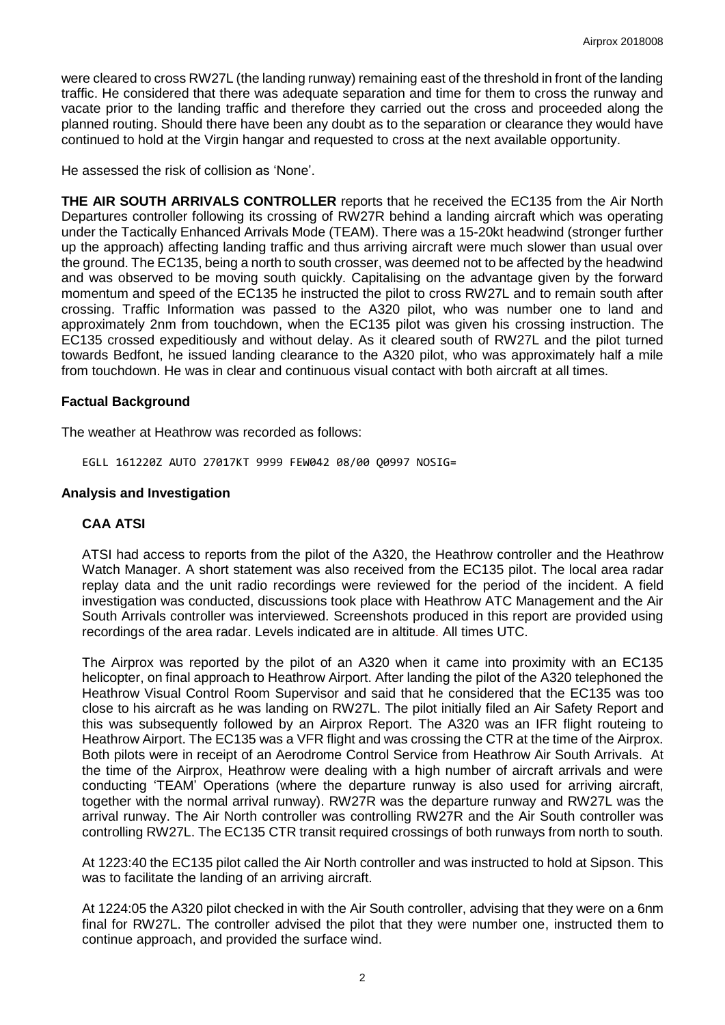were cleared to cross RW27L (the landing runway) remaining east of the threshold in front of the landing traffic. He considered that there was adequate separation and time for them to cross the runway and vacate prior to the landing traffic and therefore they carried out the cross and proceeded along the planned routing. Should there have been any doubt as to the separation or clearance they would have continued to hold at the Virgin hangar and requested to cross at the next available opportunity.

He assessed the risk of collision as 'None'.

**THE AIR SOUTH ARRIVALS CONTROLLER** reports that he received the EC135 from the Air North Departures controller following its crossing of RW27R behind a landing aircraft which was operating under the Tactically Enhanced Arrivals Mode (TEAM). There was a 15-20kt headwind (stronger further up the approach) affecting landing traffic and thus arriving aircraft were much slower than usual over the ground. The EC135, being a north to south crosser, was deemed not to be affected by the headwind and was observed to be moving south quickly. Capitalising on the advantage given by the forward momentum and speed of the EC135 he instructed the pilot to cross RW27L and to remain south after crossing. Traffic Information was passed to the A320 pilot, who was number one to land and approximately 2nm from touchdown, when the EC135 pilot was given his crossing instruction. The EC135 crossed expeditiously and without delay. As it cleared south of RW27L and the pilot turned towards Bedfont, he issued landing clearance to the A320 pilot, who was approximately half a mile from touchdown. He was in clear and continuous visual contact with both aircraft at all times.

### **Factual Background**

The weather at Heathrow was recorded as follows:

EGLL 161220Z AUTO 27017KT 9999 FEW042 08/00 Q0997 NOSIG=

#### **Analysis and Investigation**

### **CAA ATSI**

ATSI had access to reports from the pilot of the A320, the Heathrow controller and the Heathrow Watch Manager. A short statement was also received from the EC135 pilot. The local area radar replay data and the unit radio recordings were reviewed for the period of the incident. A field investigation was conducted, discussions took place with Heathrow ATC Management and the Air South Arrivals controller was interviewed. Screenshots produced in this report are provided using recordings of the area radar. Levels indicated are in altitude. All times UTC.

The Airprox was reported by the pilot of an A320 when it came into proximity with an EC135 helicopter, on final approach to Heathrow Airport. After landing the pilot of the A320 telephoned the Heathrow Visual Control Room Supervisor and said that he considered that the EC135 was too close to his aircraft as he was landing on RW27L. The pilot initially filed an Air Safety Report and this was subsequently followed by an Airprox Report. The A320 was an IFR flight routeing to Heathrow Airport. The EC135 was a VFR flight and was crossing the CTR at the time of the Airprox. Both pilots were in receipt of an Aerodrome Control Service from Heathrow Air South Arrivals. At the time of the Airprox, Heathrow were dealing with a high number of aircraft arrivals and were conducting 'TEAM' Operations (where the departure runway is also used for arriving aircraft, together with the normal arrival runway). RW27R was the departure runway and RW27L was the arrival runway. The Air North controller was controlling RW27R and the Air South controller was controlling RW27L. The EC135 CTR transit required crossings of both runways from north to south.

At 1223:40 the EC135 pilot called the Air North controller and was instructed to hold at Sipson. This was to facilitate the landing of an arriving aircraft.

At 1224:05 the A320 pilot checked in with the Air South controller, advising that they were on a 6nm final for RW27L. The controller advised the pilot that they were number one, instructed them to continue approach, and provided the surface wind.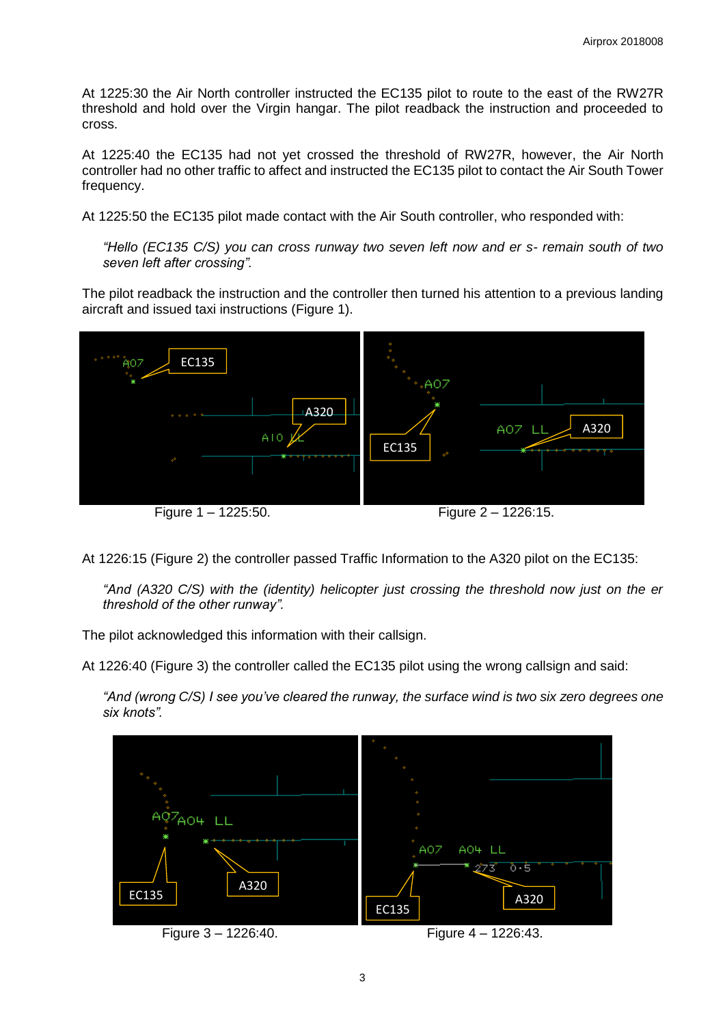At 1225:30 the Air North controller instructed the EC135 pilot to route to the east of the RW27R threshold and hold over the Virgin hangar. The pilot readback the instruction and proceeded to cross.

At 1225:40 the EC135 had not yet crossed the threshold of RW27R, however, the Air North controller had no other traffic to affect and instructed the EC135 pilot to contact the Air South Tower frequency.

At 1225:50 the EC135 pilot made contact with the Air South controller, who responded with:

*"Hello (EC135 C/S) you can cross runway two seven left now and er s- remain south of two seven left after crossing".*

The pilot readback the instruction and the controller then turned his attention to a previous landing aircraft and issued taxi instructions (Figure 1).



At 1226:15 (Figure 2) the controller passed Traffic Information to the A320 pilot on the EC135:

*"And (A320 C/S) with the (identity) helicopter just crossing the threshold now just on the er threshold of the other runway".*

The pilot acknowledged this information with their callsign.

At 1226:40 (Figure 3) the controller called the EC135 pilot using the wrong callsign and said:

*"And (wrong C/S) I see you've cleared the runway, the surface wind is two six zero degrees one six knots".*

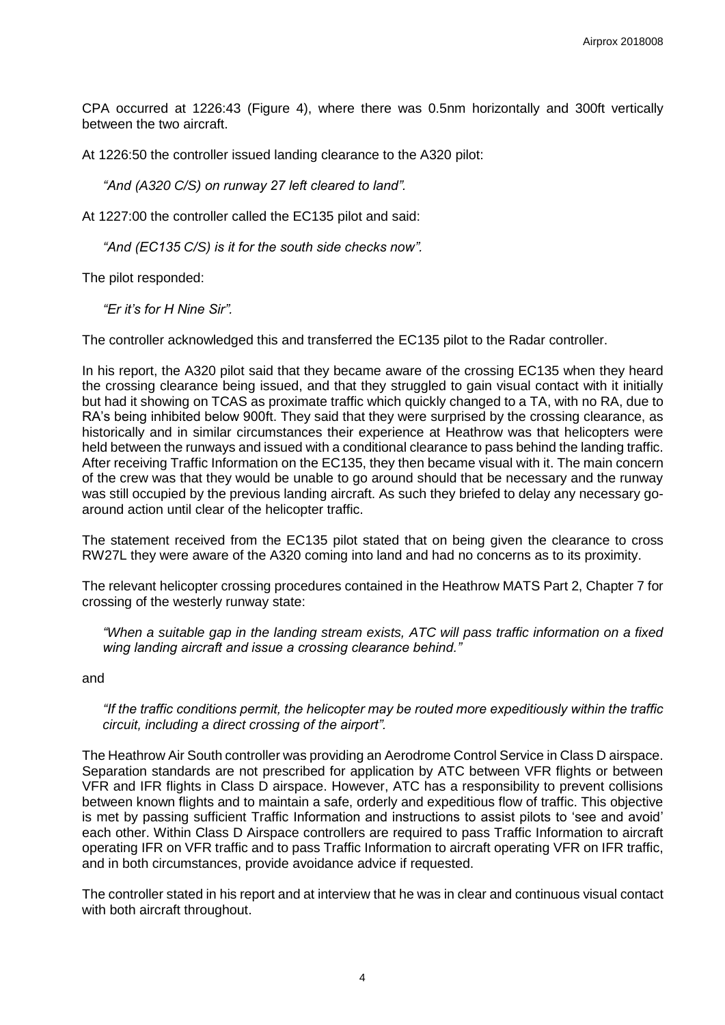CPA occurred at 1226:43 (Figure 4), where there was 0.5nm horizontally and 300ft vertically between the two aircraft.

At 1226:50 the controller issued landing clearance to the A320 pilot:

*"And (A320 C/S) on runway 27 left cleared to land".*

At 1227:00 the controller called the EC135 pilot and said:

*"And (EC135 C/S) is it for the south side checks now".*

The pilot responded:

*"Er it's for H Nine Sir".*

The controller acknowledged this and transferred the EC135 pilot to the Radar controller.

In his report, the A320 pilot said that they became aware of the crossing EC135 when they heard the crossing clearance being issued, and that they struggled to gain visual contact with it initially but had it showing on TCAS as proximate traffic which quickly changed to a TA, with no RA, due to RA's being inhibited below 900ft. They said that they were surprised by the crossing clearance, as historically and in similar circumstances their experience at Heathrow was that helicopters were held between the runways and issued with a conditional clearance to pass behind the landing traffic. After receiving Traffic Information on the EC135, they then became visual with it. The main concern of the crew was that they would be unable to go around should that be necessary and the runway was still occupied by the previous landing aircraft. As such they briefed to delay any necessary goaround action until clear of the helicopter traffic.

The statement received from the EC135 pilot stated that on being given the clearance to cross RW27L they were aware of the A320 coming into land and had no concerns as to its proximity.

The relevant helicopter crossing procedures contained in the Heathrow MATS Part 2, Chapter 7 for crossing of the westerly runway state:

*"When a suitable gap in the landing stream exists, ATC will pass traffic information on a fixed wing landing aircraft and issue a crossing clearance behind."* 

and

*"If the traffic conditions permit, the helicopter may be routed more expeditiously within the traffic circuit, including a direct crossing of the airport".*

The Heathrow Air South controller was providing an Aerodrome Control Service in Class D airspace. Separation standards are not prescribed for application by ATC between VFR flights or between VFR and IFR flights in Class D airspace. However, ATC has a responsibility to prevent collisions between known flights and to maintain a safe, orderly and expeditious flow of traffic. This objective is met by passing sufficient Traffic Information and instructions to assist pilots to 'see and avoid' each other. Within Class D Airspace controllers are required to pass Traffic Information to aircraft operating IFR on VFR traffic and to pass Traffic Information to aircraft operating VFR on IFR traffic, and in both circumstances, provide avoidance advice if requested.

The controller stated in his report and at interview that he was in clear and continuous visual contact with both aircraft throughout.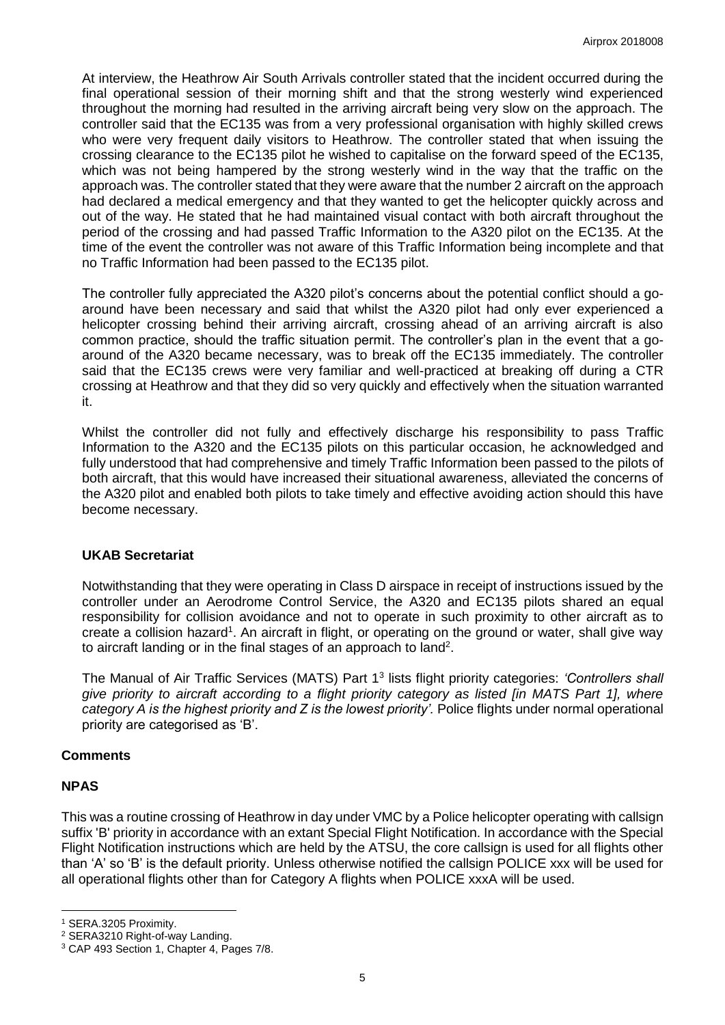At interview, the Heathrow Air South Arrivals controller stated that the incident occurred during the final operational session of their morning shift and that the strong westerly wind experienced throughout the morning had resulted in the arriving aircraft being very slow on the approach. The controller said that the EC135 was from a very professional organisation with highly skilled crews who were very frequent daily visitors to Heathrow. The controller stated that when issuing the crossing clearance to the EC135 pilot he wished to capitalise on the forward speed of the EC135, which was not being hampered by the strong westerly wind in the way that the traffic on the approach was. The controller stated that they were aware that the number 2 aircraft on the approach had declared a medical emergency and that they wanted to get the helicopter quickly across and out of the way. He stated that he had maintained visual contact with both aircraft throughout the period of the crossing and had passed Traffic Information to the A320 pilot on the EC135. At the time of the event the controller was not aware of this Traffic Information being incomplete and that no Traffic Information had been passed to the EC135 pilot.

The controller fully appreciated the A320 pilot's concerns about the potential conflict should a goaround have been necessary and said that whilst the A320 pilot had only ever experienced a helicopter crossing behind their arriving aircraft, crossing ahead of an arriving aircraft is also common practice, should the traffic situation permit. The controller's plan in the event that a goaround of the A320 became necessary, was to break off the EC135 immediately. The controller said that the EC135 crews were very familiar and well-practiced at breaking off during a CTR crossing at Heathrow and that they did so very quickly and effectively when the situation warranted it.

Whilst the controller did not fully and effectively discharge his responsibility to pass Traffic Information to the A320 and the EC135 pilots on this particular occasion, he acknowledged and fully understood that had comprehensive and timely Traffic Information been passed to the pilots of both aircraft, that this would have increased their situational awareness, alleviated the concerns of the A320 pilot and enabled both pilots to take timely and effective avoiding action should this have become necessary.

## **UKAB Secretariat**

Notwithstanding that they were operating in Class D airspace in receipt of instructions issued by the controller under an Aerodrome Control Service, the A320 and EC135 pilots shared an equal responsibility for collision avoidance and not to operate in such proximity to other aircraft as to create a collision hazard<sup>1</sup>. An aircraft in flight, or operating on the ground or water, shall give way to aircraft landing or in the final stages of an approach to land<sup>2</sup>.

The Manual of Air Traffic Services (MATS) Part 1<sup>3</sup> lists flight priority categories: *'Controllers shall give priority to aircraft according to a flight priority category as listed [in MATS Part 1], where category A is the highest priority and Z is the lowest priority'.* Police flights under normal operational priority are categorised as 'B'.

### **Comments**

### **NPAS**

l

This was a routine crossing of Heathrow in day under VMC by a Police helicopter operating with callsign suffix 'B' priority in accordance with an extant Special Flight Notification. In accordance with the Special Flight Notification instructions which are held by the ATSU, the core callsign is used for all flights other than 'A' so 'B' is the default priority. Unless otherwise notified the callsign POLICE xxx will be used for all operational flights other than for Category A flights when POLICE xxxA will be used.

<sup>1</sup> SERA.3205 Proximity.

<sup>2</sup> SERA3210 Right-of-way Landing.

<sup>3</sup> CAP 493 Section 1, Chapter 4, Pages 7/8.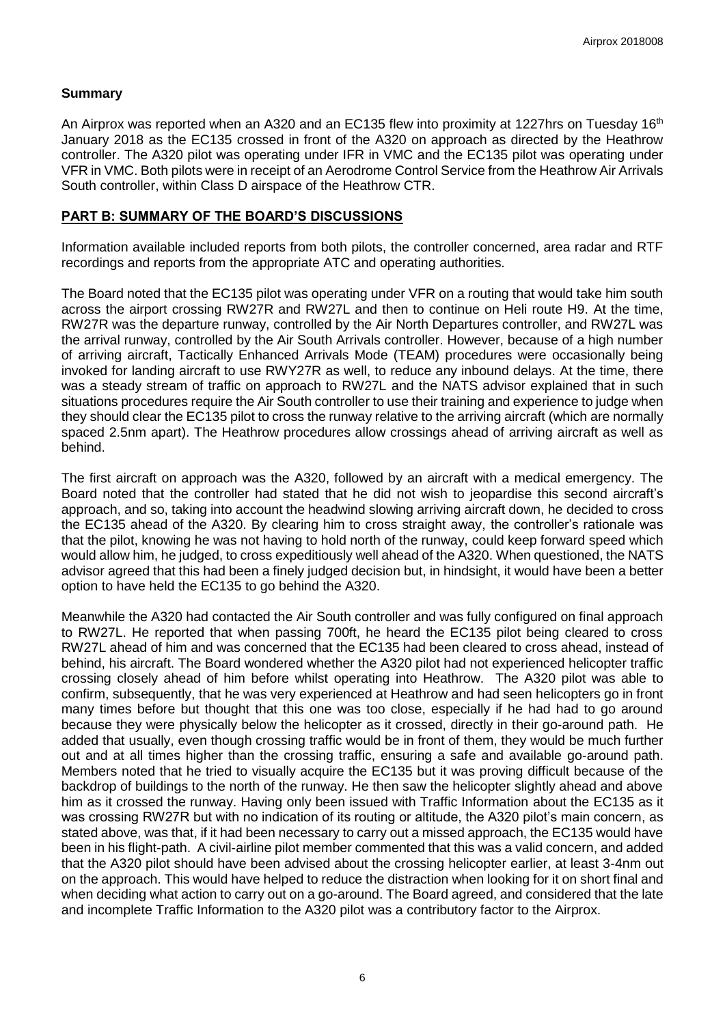## **Summary**

An Airprox was reported when an A320 and an EC135 flew into proximity at 1227hrs on Tuesday 16<sup>th</sup> January 2018 as the EC135 crossed in front of the A320 on approach as directed by the Heathrow controller. The A320 pilot was operating under IFR in VMC and the EC135 pilot was operating under VFR in VMC. Both pilots were in receipt of an Aerodrome Control Service from the Heathrow Air Arrivals South controller, within Class D airspace of the Heathrow CTR.

## **PART B: SUMMARY OF THE BOARD'S DISCUSSIONS**

Information available included reports from both pilots, the controller concerned, area radar and RTF recordings and reports from the appropriate ATC and operating authorities.

The Board noted that the EC135 pilot was operating under VFR on a routing that would take him south across the airport crossing RW27R and RW27L and then to continue on Heli route H9. At the time, RW27R was the departure runway, controlled by the Air North Departures controller, and RW27L was the arrival runway, controlled by the Air South Arrivals controller. However, because of a high number of arriving aircraft, Tactically Enhanced Arrivals Mode (TEAM) procedures were occasionally being invoked for landing aircraft to use RWY27R as well, to reduce any inbound delays. At the time, there was a steady stream of traffic on approach to RW27L and the NATS advisor explained that in such situations procedures require the Air South controller to use their training and experience to judge when they should clear the EC135 pilot to cross the runway relative to the arriving aircraft (which are normally spaced 2.5nm apart). The Heathrow procedures allow crossings ahead of arriving aircraft as well as behind.

The first aircraft on approach was the A320, followed by an aircraft with a medical emergency. The Board noted that the controller had stated that he did not wish to jeopardise this second aircraft's approach, and so, taking into account the headwind slowing arriving aircraft down, he decided to cross the EC135 ahead of the A320. By clearing him to cross straight away, the controller's rationale was that the pilot, knowing he was not having to hold north of the runway, could keep forward speed which would allow him, he judged, to cross expeditiously well ahead of the A320. When questioned, the NATS advisor agreed that this had been a finely judged decision but, in hindsight, it would have been a better option to have held the EC135 to go behind the A320.

Meanwhile the A320 had contacted the Air South controller and was fully configured on final approach to RW27L. He reported that when passing 700ft, he heard the EC135 pilot being cleared to cross RW27L ahead of him and was concerned that the EC135 had been cleared to cross ahead, instead of behind, his aircraft. The Board wondered whether the A320 pilot had not experienced helicopter traffic crossing closely ahead of him before whilst operating into Heathrow. The A320 pilot was able to confirm, subsequently, that he was very experienced at Heathrow and had seen helicopters go in front many times before but thought that this one was too close, especially if he had had to go around because they were physically below the helicopter as it crossed, directly in their go-around path. He added that usually, even though crossing traffic would be in front of them, they would be much further out and at all times higher than the crossing traffic, ensuring a safe and available go-around path. Members noted that he tried to visually acquire the EC135 but it was proving difficult because of the backdrop of buildings to the north of the runway. He then saw the helicopter slightly ahead and above him as it crossed the runway. Having only been issued with Traffic Information about the EC135 as it was crossing RW27R but with no indication of its routing or altitude, the A320 pilot's main concern, as stated above, was that, if it had been necessary to carry out a missed approach, the EC135 would have been in his flight-path. A civil-airline pilot member commented that this was a valid concern, and added that the A320 pilot should have been advised about the crossing helicopter earlier, at least 3-4nm out on the approach. This would have helped to reduce the distraction when looking for it on short final and when deciding what action to carry out on a go-around. The Board agreed, and considered that the late and incomplete Traffic Information to the A320 pilot was a contributory factor to the Airprox.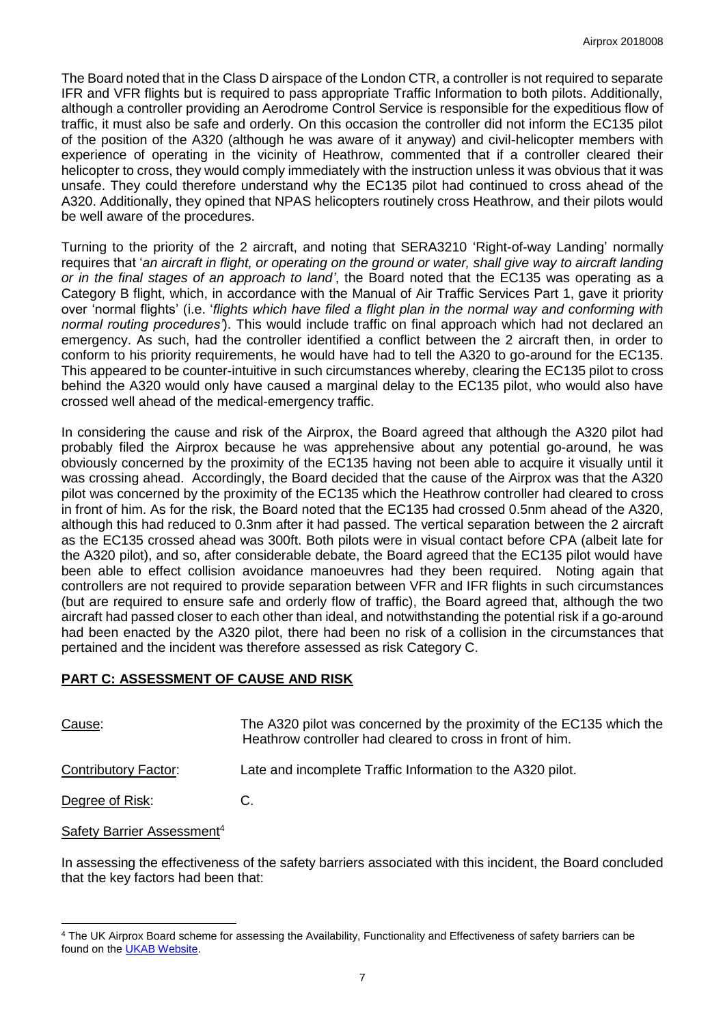The Board noted that in the Class D airspace of the London CTR, a controller is not required to separate IFR and VFR flights but is required to pass appropriate Traffic Information to both pilots. Additionally, although a controller providing an Aerodrome Control Service is responsible for the expeditious flow of traffic, it must also be safe and orderly. On this occasion the controller did not inform the EC135 pilot of the position of the A320 (although he was aware of it anyway) and civil-helicopter members with experience of operating in the vicinity of Heathrow, commented that if a controller cleared their helicopter to cross, they would comply immediately with the instruction unless it was obvious that it was unsafe. They could therefore understand why the EC135 pilot had continued to cross ahead of the A320. Additionally, they opined that NPAS helicopters routinely cross Heathrow, and their pilots would be well aware of the procedures.

Turning to the priority of the 2 aircraft, and noting that SERA3210 'Right-of-way Landing' normally requires that '*an aircraft in flight, or operating on the ground or water, shall give way to aircraft landing or in the final stages of an approach to land'*, the Board noted that the EC135 was operating as a Category B flight, which, in accordance with the Manual of Air Traffic Services Part 1, gave it priority over 'normal flights' (i.e. '*flights which have filed a flight plan in the normal way and conforming with normal routing procedures'*). This would include traffic on final approach which had not declared an emergency. As such, had the controller identified a conflict between the 2 aircraft then, in order to conform to his priority requirements, he would have had to tell the A320 to go-around for the EC135. This appeared to be counter-intuitive in such circumstances whereby, clearing the EC135 pilot to cross behind the A320 would only have caused a marginal delay to the EC135 pilot, who would also have crossed well ahead of the medical-emergency traffic.

In considering the cause and risk of the Airprox, the Board agreed that although the A320 pilot had probably filed the Airprox because he was apprehensive about any potential go-around, he was obviously concerned by the proximity of the EC135 having not been able to acquire it visually until it was crossing ahead. Accordingly, the Board decided that the cause of the Airprox was that the A320 pilot was concerned by the proximity of the EC135 which the Heathrow controller had cleared to cross in front of him. As for the risk, the Board noted that the EC135 had crossed 0.5nm ahead of the A320, although this had reduced to 0.3nm after it had passed. The vertical separation between the 2 aircraft as the EC135 crossed ahead was 300ft. Both pilots were in visual contact before CPA (albeit late for the A320 pilot), and so, after considerable debate, the Board agreed that the EC135 pilot would have been able to effect collision avoidance manoeuvres had they been required. Noting again that controllers are not required to provide separation between VFR and IFR flights in such circumstances (but are required to ensure safe and orderly flow of traffic), the Board agreed that, although the two aircraft had passed closer to each other than ideal, and notwithstanding the potential risk if a go-around had been enacted by the A320 pilot, there had been no risk of a collision in the circumstances that pertained and the incident was therefore assessed as risk Category C.

# **PART C: ASSESSMENT OF CAUSE AND RISK**

| Cause:                                        | The A320 pilot was concerned by the proximity of the EC135 which the<br>Heathrow controller had cleared to cross in front of him. |
|-----------------------------------------------|-----------------------------------------------------------------------------------------------------------------------------------|
| Contributory Factor:                          | Late and incomplete Traffic Information to the A320 pilot.                                                                        |
| Degree of Risk:                               | C.                                                                                                                                |
| <b>Safety Barrier Assessment</b> <sup>4</sup> |                                                                                                                                   |

In assessing the effectiveness of the safety barriers associated with this incident, the Board concluded that the key factors had been that:

 $\overline{\phantom{a}}$ <sup>4</sup> The UK Airprox Board scheme for assessing the Availability, Functionality and Effectiveness of safety barriers can be found on the **UKAB Website**.